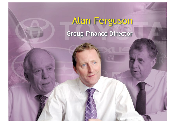# Alan Ferguson Group Finance Director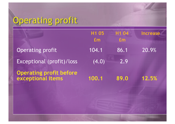## Operating profit

| H1 05<br>Em | H1 04<br>Em | <b>Increase</b> |
|-------------|-------------|-----------------|
| 104.1       | 86.1        | $ 20.9\% $      |
| (4.0)       | 2.9         |                 |
| 100.1       | 89.0        | 12.5%           |
|             |             |                 |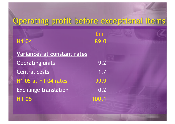## Operating profit before exceptional items

| H1 04                       | $\mathbf{f}_{\mathbf{m}}$<br>89.0 |  |
|-----------------------------|-----------------------------------|--|
| Variances at constant rates |                                   |  |
| <b>Operating units</b>      | 9.2                               |  |
| <b>Central costs</b>        | 1.7                               |  |
| H1 05 at H1 04 rates        | 99.9                              |  |
| <b>Exchange translation</b> | 0.2                               |  |
| H <sub>1</sub> 05           | 100.1                             |  |
|                             |                                   |  |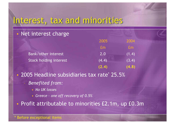### Interest, tax and minorities

### • Net interest charge

|                        | 2005  | 2004            |
|------------------------|-------|-----------------|
|                        | Em    | Em <sub>1</sub> |
| Bank/other interest    | 2.0   | (1.4)           |
| Stock holding interest | (4.4) | (3.4)           |
|                        | (2.4) | (4.8)           |

• 2005 Headline subsidiaries tax rate\* 25.5%

- *Benefited from:*
	- *No UK losses*
	- *Greece – one off recovery of 0.5%*

• Profit attributable to minorities £2.1m, up £0.3m

#### \* Before exceptional items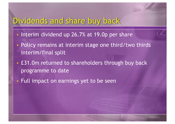### Dividends and share buy back

- Interim dividend up 26.7% at 19.0p per share
- Policy remains at interim stage one third/two thirds interim/final split
- £31.0m returned to shareholders through buy back programme to date
- Full impact on earnings yet to be seen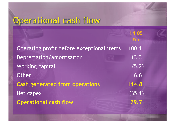## Operational cash flow

**£m** Operating profit before exceptional items 100.1 Depreciation/amortisation 13.3 Working capital (5.2) Other 6.6 **Cash generated from operations 114.8** Net capex (35.1) **Operational cash flow 79.7** 

**H1 05**